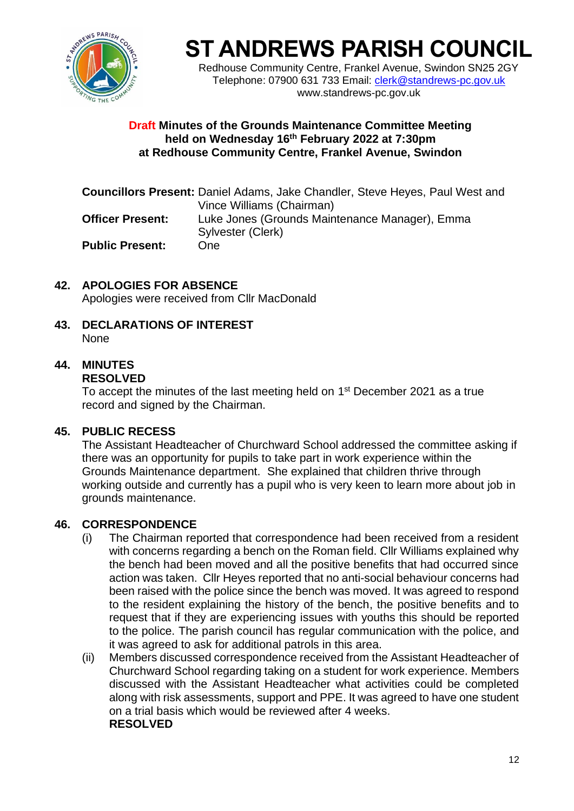

# **ST ANDREWS PARISH COUNCIL**

Redhouse Community Centre, Frankel Avenue, Swindon SN25 2GY Telephone: 07900 631 733 Email: [clerk@standrews-pc.gov.uk](mailto:clerk@standrews-pc.gov.uk) www.standrews-pc.gov.uk

### **Draft Minutes of the Grounds Maintenance Committee Meeting held on Wednesday 16th February 2022 at 7:30pm at Redhouse Community Centre, Frankel Avenue, Swindon**

|                         | <b>Councillors Present:</b> Daniel Adams, Jake Chandler, Steve Heyes, Paul West and |
|-------------------------|-------------------------------------------------------------------------------------|
|                         | Vince Williams (Chairman)                                                           |
| <b>Officer Present:</b> | Luke Jones (Grounds Maintenance Manager), Emma                                      |
|                         | Sylvester (Clerk)                                                                   |
| <b>Public Present:</b>  | One.                                                                                |

- **42. APOLOGIES FOR ABSENCE** Apologies were received from Cllr MacDonald
- **43. DECLARATIONS OF INTEREST None**

# **44. MINUTES**

# **RESOLVED**

To accept the minutes of the last meeting held on 1<sup>st</sup> December 2021 as a true record and signed by the Chairman.

# **45. PUBLIC RECESS**

The Assistant Headteacher of Churchward School addressed the committee asking if there was an opportunity for pupils to take part in work experience within the Grounds Maintenance department. She explained that children thrive through working outside and currently has a pupil who is very keen to learn more about job in grounds maintenance.

# **46. CORRESPONDENCE**

- (i) The Chairman reported that correspondence had been received from a resident with concerns regarding a bench on the Roman field. Cllr Williams explained why the bench had been moved and all the positive benefits that had occurred since action was taken. Cllr Heyes reported that no anti-social behaviour concerns had been raised with the police since the bench was moved. It was agreed to respond to the resident explaining the history of the bench, the positive benefits and to request that if they are experiencing issues with youths this should be reported to the police. The parish council has regular communication with the police, and it was agreed to ask for additional patrols in this area.
- (ii) Members discussed correspondence received from the Assistant Headteacher of Churchward School regarding taking on a student for work experience. Members discussed with the Assistant Headteacher what activities could be completed along with risk assessments, support and PPE. It was agreed to have one student on a trial basis which would be reviewed after 4 weeks. **RESOLVED**